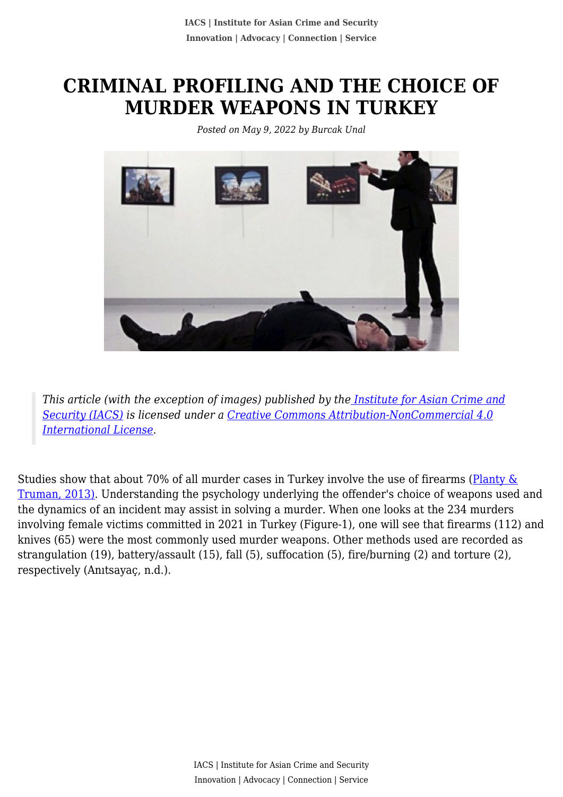## **CRIMINAL PROFILING AND THE CHOICE OF MURDER WEAPONS IN TURKEY**

*Posted on May 9, 2022 by Burcak Unal*



*This article (with the exception of images) published by th[e Institute for Asian Crime and](http://www.theiacs.org) [Security \(IACS\)](http://www.theiacs.org) is licensed under a [Creative Commons Attribution-NonCommercial 4.0](http://creativecommons.org/licenses/by-nc/4.0/) [International License](http://creativecommons.org/licenses/by-nc/4.0/).*

Studies show that about 70% of all murder cases in Turkey involve the use of firearms (Planty  $\&$ [Truman, 2013\)](https://journals.sagepub.com/doi/full/10.1177/1088767918807252). Understanding the psychology underlying the offender's choice of weapons used and the dynamics of an incident may assist in solving a murder. When one looks at the 234 murders involving female victims committed in 2021 in Turkey (Figure-1), one will see that firearms (112) and knives (65) were the most commonly used murder weapons. Other methods used are recorded as strangulation (19), battery/assault (15), fall (5), suffocation (5), fire/burning (2) and torture (2), respectively (Anıtsayaç, n.d.).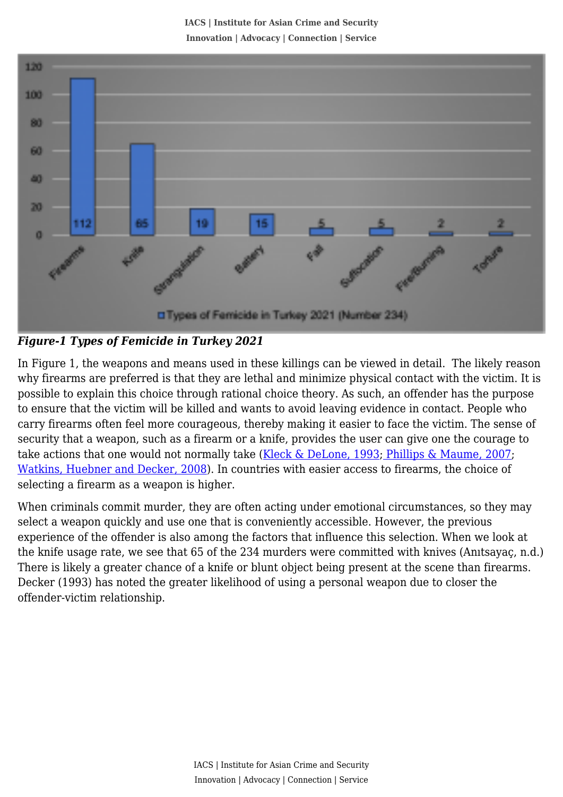**IACS | Institute for Asian Crime and Security Innovation | Advocacy | Connection | Service**



*Figure-1 Types of Femicide in Turkey 2021*

In Figure 1, the weapons and means used in these killings can be viewed in detail. The likely reason why firearms are preferred is that they are lethal and minimize physical contact with the victim. It is possible to explain this choice through rational choice theory. As such, an offender has the purpose to ensure that the victim will be killed and wants to avoid leaving evidence in contact. People who carry firearms often feel more courageous, thereby making it easier to face the victim. The sense of security that a weapon, such as a firearm or a knife, provides the user can give one the courage to take actions that one would not normally take [\(Kleck & DeLone, 1993; Phillips & Maume, 2007;](https://journals.sagepub.com/doi/full/10.1177/1088767918807252) [Watkins, Huebner and Decker, 2008\)](https://journals.sagepub.com/doi/full/10.1177/1088767918807252). In countries with easier access to firearms, the choice of selecting a firearm as a weapon is higher.

When criminals commit murder, they are often acting under emotional circumstances, so they may select a weapon quickly and use one that is conveniently accessible. However, the previous experience of the offender is also among the factors that influence this selection. When we look at the knife usage rate, we see that 65 of the 234 murders were committed with knives (Anıtsayaç, n.d.) There is likely a greater chance of a knife or blunt object being present at the scene than firearms. Decker (1993) has noted the greater likelihood of using a personal weapon due to closer the offender-victim relationship.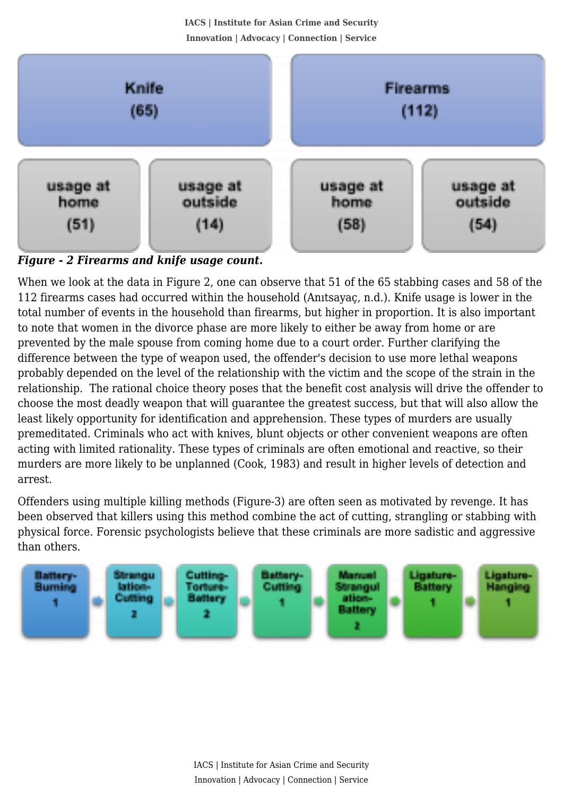**IACS | Institute for Asian Crime and Security Innovation | Advocacy | Connection | Service**



*Figure - 2 Firearms and knife usage count.*

When we look at the data in Figure 2, one can observe that 51 of the 65 stabbing cases and 58 of the 112 firearms cases had occurred within the household (Anıtsayaç, n.d.). Knife usage is lower in the total number of events in the household than firearms, but higher in proportion. It is also important to note that women in the divorce phase are more likely to either be away from home or are prevented by the male spouse from coming home due to a court order. Further clarifying the difference between the type of weapon used, the offender's decision to use more lethal weapons probably depended on the level of the relationship with the victim and the scope of the strain in the relationship. The rational choice theory poses that the benefit cost analysis will drive the offender to choose the most deadly weapon that will guarantee the greatest success, but that will also allow the least likely opportunity for identification and apprehension. These types of murders are usually premeditated. Criminals who act with knives, blunt objects or other convenient weapons are often acting with limited rationality. These types of criminals are often emotional and reactive, so their murders are more likely to be unplanned (Cook, 1983) and result in higher levels of detection and arrest.

Offenders using multiple killing methods (Figure-3) are often seen as motivated by revenge. It has been observed that killers using this method combine the act of cutting, strangling or stabbing with physical force. Forensic psychologists believe that these criminals are more sadistic and aggressive than others.

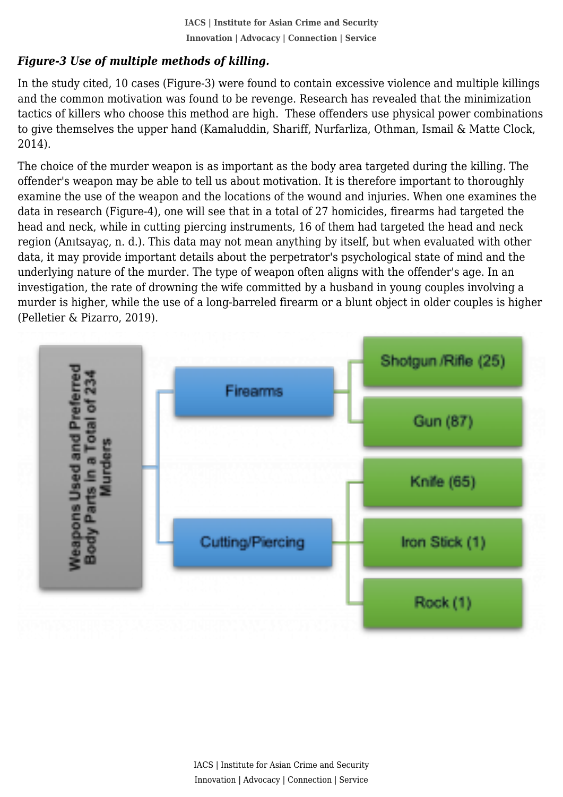## *Figure-3 Use of multiple methods of killing.*

 In the study cited, 10 cases (Figure-3) were found to contain excessive violence and multiple killings and the common motivation was found to be revenge. Research has revealed that the minimization tactics of killers who choose this method are high. These offenders use physical power combinations to give themselves the upper hand (Kamaluddin, Shariff, Nurfarliza, Othman, Ismail & Matte Clock, 2014).

The choice of the murder weapon is as important as the body area targeted during the killing. The offender's weapon may be able to tell us about motivation. It is therefore important to thoroughly examine the use of the weapon and the locations of the wound and injuries. When one examines the data in research (Figure-4), one will see that in a total of 27 homicides, firearms had targeted the head and neck, while in cutting piercing instruments, 16 of them had targeted the head and neck region (Anıtsayaç, n. d.). This data may not mean anything by itself, but when evaluated with other data, it may provide important details about the perpetrator's psychological state of mind and the underlying nature of the murder. The type of weapon often aligns with the offender's age. In an investigation, the rate of drowning the wife committed by a husband in young couples involving a murder is higher, while the use of a long-barreled firearm or a blunt object in older couples is higher (Pelletier & Pizarro, 2019).

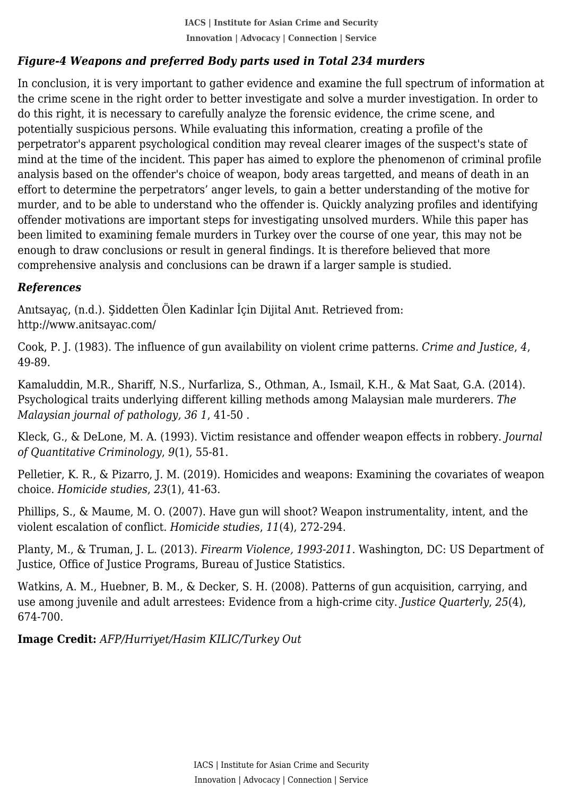## *Figure-4 Weapons and preferred Body parts used in Total 234 murders*

 In conclusion, it is very important to gather evidence and examine the full spectrum of information at the crime scene in the right order to better investigate and solve a murder investigation. In order to do this right, it is necessary to carefully analyze the forensic evidence, the crime scene, and potentially suspicious persons. While evaluating this information, creating a profile of the perpetrator's apparent psychological condition may reveal clearer images of the suspect's state of mind at the time of the incident. This paper has aimed to explore the phenomenon of criminal profile analysis based on the offender's choice of weapon, body areas targetted, and means of death in an effort to determine the perpetrators' anger levels, to gain a better understanding of the motive for murder, and to be able to understand who the offender is. Quickly analyzing profiles and identifying offender motivations are important steps for investigating unsolved murders. While this paper has been limited to examining female murders in Turkey over the course of one year, this may not be enough to draw conclusions or result in general findings. It is therefore believed that more comprehensive analysis and conclusions can be drawn if a larger sample is studied.

## *References*

Anıtsayaç, (n.d.). Şiddetten Ölen Kadinlar İçin Dijital Anıt. Retrieved from: http://www.anitsayac.com/

Cook, P. J. (1983). The influence of gun availability on violent crime patterns. *Crime and Justice*, *4*, 49-89.

Kamaluddin, M.R., Shariff, N.S., Nurfarliza, S., Othman, A., Ismail, K.H., & Mat Saat, G.A. (2014). Psychological traits underlying different killing methods among Malaysian male murderers. *The Malaysian journal of pathology, 36 1*, 41-50 .

Kleck, G., & DeLone, M. A. (1993). Victim resistance and offender weapon effects in robbery. *Journal of Quantitative Criminology*, *9*(1), 55-81.

Pelletier, K. R., & Pizarro, J. M. (2019). Homicides and weapons: Examining the covariates of weapon choice. *Homicide studies*, *23*(1), 41-63.

Phillips, S., & Maume, M. O. (2007). Have gun will shoot? Weapon instrumentality, intent, and the violent escalation of conflict. *Homicide studies*, *11*(4), 272-294.

Planty, M., & Truman, J. L. (2013). *Firearm Violence, 1993-2011*. Washington, DC: US Department of Justice, Office of Justice Programs, Bureau of Justice Statistics.

Watkins, A. M., Huebner, B. M., & Decker, S. H. (2008). Patterns of gun acquisition, carrying, and use among juvenile and adult arrestees: Evidence from a high‐crime city. *Justice Quarterly*, *25*(4), 674-700.

**Image Credit:** *AFP/Hurriyet/Hasim KILIC/Turkey Out*